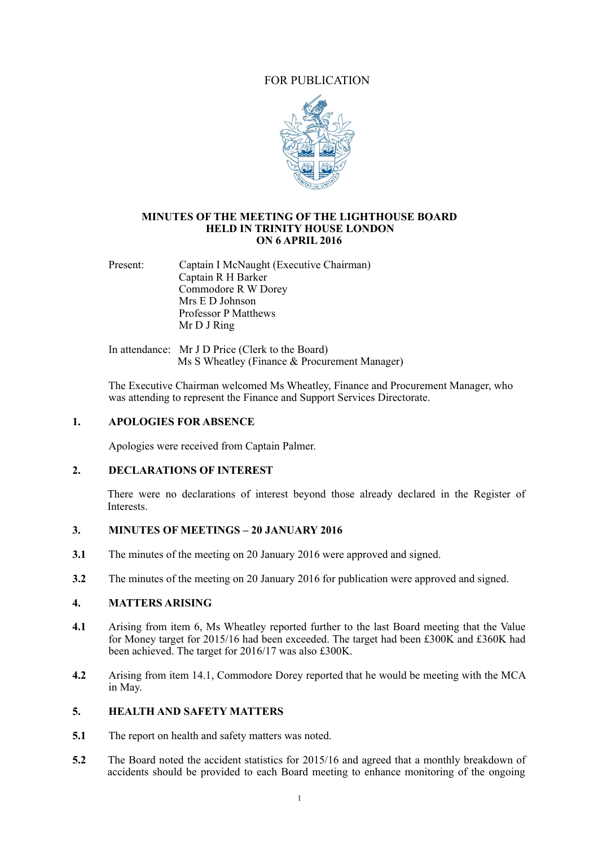# FOR PUBLICATION



#### **MINUTES OF THE MEETING OF THE LIGHTHOUSE BOARD HELD IN TRINITY HOUSE LONDON ON 6 APRIL 2016**

Present: Captain I McNaught (Executive Chairman) Captain R H Barker Commodore R W Dorey Mrs E D Johnson Professor P Matthews Mr D J Ring

In attendance: Mr J D Price (Clerk to the Board) Ms S Wheatley (Finance & Procurement Manager)

The Executive Chairman welcomed Ms Wheatley, Finance and Procurement Manager, who was attending to represent the Finance and Support Services Directorate.

#### **1. APOLOGIES FOR ABSENCE**

Apologies were received from Captain Palmer.

## **2. DECLARATIONS OF INTEREST**

There were no declarations of interest beyond those already declared in the Register of **Interests** 

## **3. MINUTES OF MEETINGS – 20 JANUARY 2016**

- **3.1** The minutes of the meeting on 20 January 2016 were approved and signed.
- **3.2** The minutes of the meeting on 20 January 2016 for publication were approved and signed.

#### **4. MATTERS ARISING**

- **4.1** Arising from item 6, Ms Wheatley reported further to the last Board meeting that the Value for Money target for 2015/16 had been exceeded. The target had been £300K and £360K had been achieved. The target for 2016/17 was also £300K.
- **4.2** Arising from item 14.1, Commodore Dorey reported that he would be meeting with the MCA in May.

# **5. HEALTH AND SAFETY MATTERS**

- **5.1** The report on health and safety matters was noted.
- **5.2** The Board noted the accident statistics for 2015/16 and agreed that a monthly breakdown of accidents should be provided to each Board meeting to enhance monitoring of the ongoing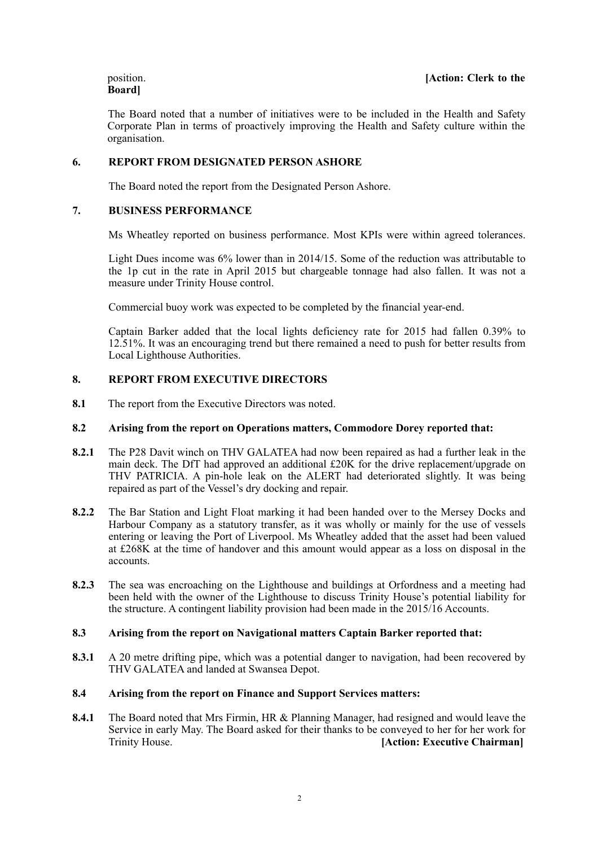# **Board]**

The Board noted that a number of initiatives were to be included in the Health and Safety Corporate Plan in terms of proactively improving the Health and Safety culture within the organisation.

# **6. REPORT FROM DESIGNATED PERSON ASHORE**

The Board noted the report from the Designated Person Ashore.

# **7. BUSINESS PERFORMANCE**

Ms Wheatley reported on business performance. Most KPIs were within agreed tolerances.

 Light Dues income was 6% lower than in 2014/15. Some of the reduction was attributable to the 1p cut in the rate in April 2015 but chargeable tonnage had also fallen. It was not a measure under Trinity House control.

Commercial buoy work was expected to be completed by the financial year-end.

 Captain Barker added that the local lights deficiency rate for 2015 had fallen 0.39% to 12.51%. It was an encouraging trend but there remained a need to push for better results from Local Lighthouse Authorities.

# **8. REPORT FROM EXECUTIVE DIRECTORS**

**8.1** The report from the Executive Directors was noted.

## **8.2 Arising from the report on Operations matters, Commodore Dorey reported that:**

- **8.2.1** The P28 Davit winch on THV GALATEA had now been repaired as had a further leak in the main deck. The DfT had approved an additional £20K for the drive replacement/upgrade on THV PATRICIA. A pin-hole leak on the ALERT had deteriorated slightly. It was being repaired as part of the Vessel's dry docking and repair.
- **8.2.2** The Bar Station and Light Float marking it had been handed over to the Mersey Docks and Harbour Company as a statutory transfer, as it was wholly or mainly for the use of vessels entering or leaving the Port of Liverpool. Ms Wheatley added that the asset had been valued at £268K at the time of handover and this amount would appear as a loss on disposal in the accounts.
- **8.2.3** The sea was encroaching on the Lighthouse and buildings at Orfordness and a meeting had been held with the owner of the Lighthouse to discuss Trinity House's potential liability for the structure. A contingent liability provision had been made in the 2015/16 Accounts.

## **8.3 Arising from the report on Navigational matters Captain Barker reported that:**

**8.3.1** A 20 metre drifting pipe, which was a potential danger to navigation, had been recovered by THV GALATEA and landed at Swansea Depot.

## **8.4 Arising from the report on Finance and Support Services matters:**

**8.4.1** The Board noted that Mrs Firmin, HR & Planning Manager, had resigned and would leave the Service in early May. The Board asked for their thanks to be conveyed to her for her work for Trinity House. **[Action: Executive Chairman]**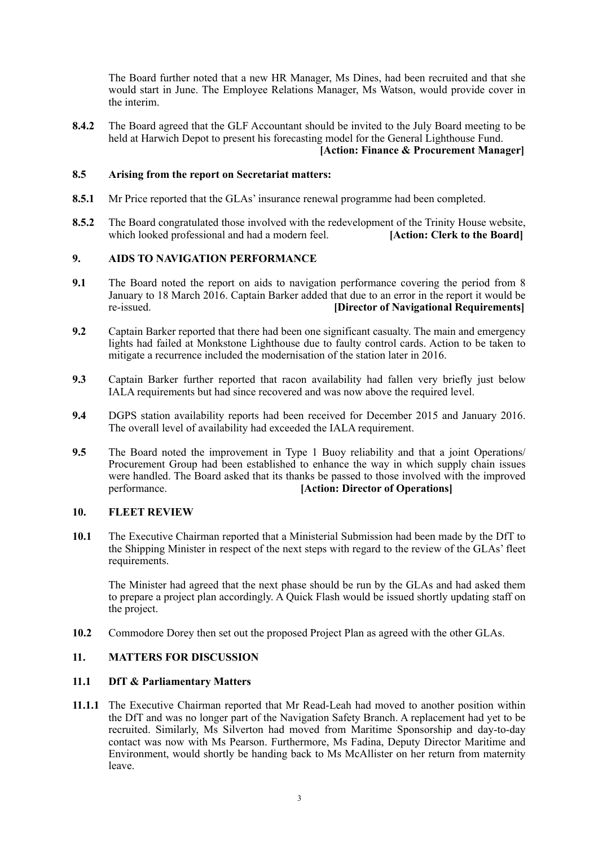The Board further noted that a new HR Manager, Ms Dines, had been recruited and that she would start in June. The Employee Relations Manager, Ms Watson, would provide cover in the interim.

**8.4.2** The Board agreed that the GLF Accountant should be invited to the July Board meeting to be held at Harwich Depot to present his forecasting model for the General Lighthouse Fund.  **[Action: Finance & Procurement Manager]** 

## **8.5 Arising from the report on Secretariat matters:**

- **8.5.1** Mr Price reported that the GLAs' insurance renewal programme had been completed.
- **8.5.2** The Board congratulated those involved with the redevelopment of the Trinity House website, which looked professional and had a modern feel. **[Action: Clerk to the Board]**

# **9. AIDS TO NAVIGATION PERFORMANCE**

- **9.1** The Board noted the report on aids to navigation performance covering the period from 8 January to 18 March 2016. Captain Barker added that due to an error in the report it would be re-issued. **[Director of Navigational Requirements]**
- **9.2** Captain Barker reported that there had been one significant casualty. The main and emergency lights had failed at Monkstone Lighthouse due to faulty control cards. Action to be taken to mitigate a recurrence included the modernisation of the station later in 2016.
- **9.3** Captain Barker further reported that racon availability had fallen very briefly just below IALA requirements but had since recovered and was now above the required level.
- **9.4** DGPS station availability reports had been received for December 2015 and January 2016. The overall level of availability had exceeded the IALA requirement.
- **9.5** The Board noted the improvement in Type 1 Buoy reliability and that a joint Operations/ Procurement Group had been established to enhance the way in which supply chain issues were handled. The Board asked that its thanks be passed to those involved with the improved performance. **[Action: Director of Operations]**

# **10. FLEET REVIEW**

**10.1** The Executive Chairman reported that a Ministerial Submission had been made by the DfT to the Shipping Minister in respect of the next steps with regard to the review of the GLAs' fleet requirements.

The Minister had agreed that the next phase should be run by the GLAs and had asked them to prepare a project plan accordingly. A Quick Flash would be issued shortly updating staff on the project.

**10.2** Commodore Dorey then set out the proposed Project Plan as agreed with the other GLAs.

# **11. MATTERS FOR DISCUSSION**

## **11.1 DfT & Parliamentary Matters**

**11.1.1** The Executive Chairman reported that Mr Read-Leah had moved to another position within the DfT and was no longer part of the Navigation Safety Branch. A replacement had yet to be recruited. Similarly, Ms Silverton had moved from Maritime Sponsorship and day-to-day contact was now with Ms Pearson. Furthermore, Ms Fadina, Deputy Director Maritime and Environment, would shortly be handing back to Ms McAllister on her return from maternity leave.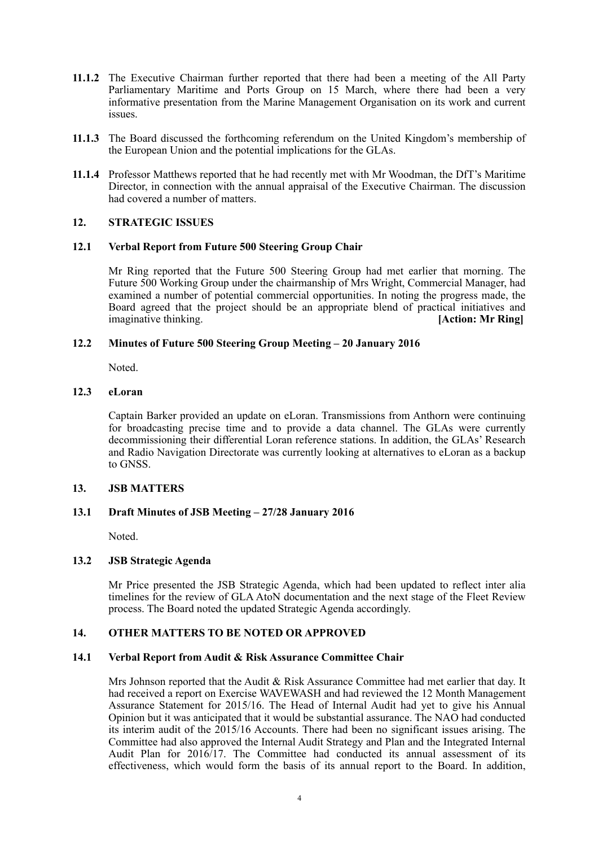- **11.1.2** The Executive Chairman further reported that there had been a meeting of the All Party Parliamentary Maritime and Ports Group on 15 March, where there had been a very informative presentation from the Marine Management Organisation on its work and current issues.
- **11.1.3** The Board discussed the forthcoming referendum on the United Kingdom's membership of the European Union and the potential implications for the GLAs.
- **11.1.4** Professor Matthews reported that he had recently met with Mr Woodman, the DfT's Maritime Director, in connection with the annual appraisal of the Executive Chairman. The discussion had covered a number of matters.

## **12. STRATEGIC ISSUES**

## **12.1 Verbal Report from Future 500 Steering Group Chair**

Mr Ring reported that the Future 500 Steering Group had met earlier that morning. The Future 500 Working Group under the chairmanship of Mrs Wright, Commercial Manager, had examined a number of potential commercial opportunities. In noting the progress made, the Board agreed that the project should be an appropriate blend of practical initiatives and *imaginative thinking. <b>Action: Mr Ring <i>Action: Mr Ring Action: Mr Ring Action: Mr Ring Action: Mr Ring* **<b>***Action: Mr Ring Action: Mr Ring Action: Mr Ring Action: Mr Ring* **<b>***Action: Mr Ring* 

## **12.2 Minutes of Future 500 Steering Group Meeting – 20 January 2016**

Noted.

# **12.3 eLoran**

Captain Barker provided an update on eLoran. Transmissions from Anthorn were continuing for broadcasting precise time and to provide a data channel. The GLAs were currently decommissioning their differential Loran reference stations. In addition, the GLAs' Research and Radio Navigation Directorate was currently looking at alternatives to eLoran as a backup to GNSS.

## **13. JSB MATTERS**

## **13.1 Draft Minutes of JSB Meeting – 27/28 January 2016**

Noted.

#### **13.2 JSB Strategic Agenda**

Mr Price presented the JSB Strategic Agenda, which had been updated to reflect inter alia timelines for the review of GLA AtoN documentation and the next stage of the Fleet Review process. The Board noted the updated Strategic Agenda accordingly.

#### **14. OTHER MATTERS TO BE NOTED OR APPROVED**

#### **14.1 Verbal Report from Audit & Risk Assurance Committee Chair**

Mrs Johnson reported that the Audit & Risk Assurance Committee had met earlier that day. It had received a report on Exercise WAVEWASH and had reviewed the 12 Month Management Assurance Statement for 2015/16. The Head of Internal Audit had yet to give his Annual Opinion but it was anticipated that it would be substantial assurance. The NAO had conducted its interim audit of the 2015/16 Accounts. There had been no significant issues arising. The Committee had also approved the Internal Audit Strategy and Plan and the Integrated Internal Audit Plan for  $2016/17$ . The Committee had conducted its annual assessment of its effectiveness, which would form the basis of its annual report to the Board. In addition,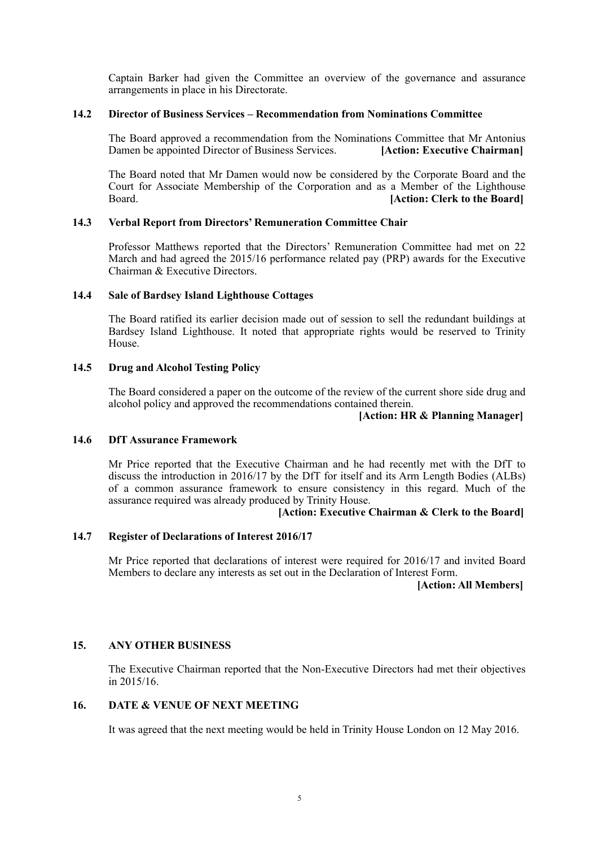Captain Barker had given the Committee an overview of the governance and assurance arrangements in place in his Directorate.

#### **14.2 Director of Business Services – Recommendation from Nominations Committee**

The Board approved a recommendation from the Nominations Committee that Mr Antonius Damen be appointed Director of Business Services. **[Action: Executive Chairman]** 

The Board noted that Mr Damen would now be considered by the Corporate Board and the Court for Associate Membership of the Corporation and as a Member of the Lighthouse **Example 3 Example 3 Example 3 Example 3** *Action: Clerk to the Board] Clerk to the Board* 

#### **14.3 Verbal Report from Directors' Remuneration Committee Chair**

Professor Matthews reported that the Directors' Remuneration Committee had met on 22 March and had agreed the 2015/16 performance related pay (PRP) awards for the Executive Chairman & Executive Directors.

## **14.4 Sale of Bardsey Island Lighthouse Cottages**

 The Board ratified its earlier decision made out of session to sell the redundant buildings at Bardsey Island Lighthouse. It noted that appropriate rights would be reserved to Trinity House.

#### **14.5 Drug and Alcohol Testing Policy**

 The Board considered a paper on the outcome of the review of the current shore side drug and alcohol policy and approved the recommendations contained therein.

#### **[Action: HR & Planning Manager]**

#### **14.6 DfT Assurance Framework**

Mr Price reported that the Executive Chairman and he had recently met with the DfT to discuss the introduction in 2016/17 by the DfT for itself and its Arm Length Bodies (ALBs) of a common assurance framework to ensure consistency in this regard. Much of the assurance required was already produced by Trinity House.

#### **[Action: Executive Chairman & Clerk to the Board]**

## **14.7 Register of Declarations of Interest 2016/17**

Mr Price reported that declarations of interest were required for 2016/17 and invited Board Members to declare any interests as set out in the Declaration of Interest Form.

**[Action: All Members]** 

## **15. ANY OTHER BUSINESS**

The Executive Chairman reported that the Non-Executive Directors had met their objectives in 2015/16.

# **16. DATE & VENUE OF NEXT MEETING**

It was agreed that the next meeting would be held in Trinity House London on 12 May 2016.